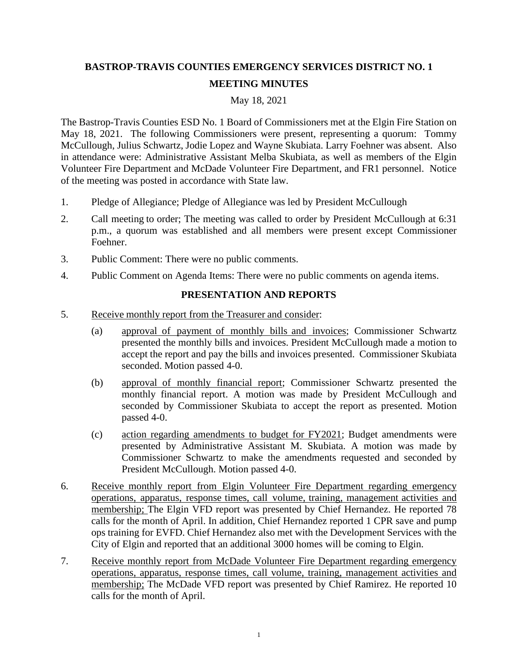## **BASTROP-TRAVIS COUNTIES EMERGENCY SERVICES DISTRICT NO. 1 MEETING MINUTES**

## May 18, 2021

The Bastrop-Travis Counties ESD No. 1 Board of Commissioners met at the Elgin Fire Station on May 18, 2021. The following Commissioners were present, representing a quorum: Tommy McCullough, Julius Schwartz, Jodie Lopez and Wayne Skubiata. Larry Foehner was absent. Also in attendance were: Administrative Assistant Melba Skubiata, as well as members of the Elgin Volunteer Fire Department and McDade Volunteer Fire Department, and FR1 personnel. Notice of the meeting was posted in accordance with State law.

- 1. Pledge of Allegiance; Pledge of Allegiance was led by President McCullough
- 2. Call meeting to order; The meeting was called to order by President McCullough at 6:31 p.m., a quorum was established and all members were present except Commissioner Foehner.
- 3. Public Comment: There were no public comments.
- 4. Public Comment on Agenda Items: There were no public comments on agenda items.

## **PRESENTATION AND REPORTS**

- 5. Receive monthly report from the Treasurer and consider:
	- (a) approval of payment of monthly bills and invoices; Commissioner Schwartz presented the monthly bills and invoices. President McCullough made a motion to accept the report and pay the bills and invoices presented. Commissioner Skubiata seconded. Motion passed 4-0.
	- (b) approval of monthly financial report; Commissioner Schwartz presented the monthly financial report. A motion was made by President McCullough and seconded by Commissioner Skubiata to accept the report as presented. Motion passed 4-0.
	- (c) action regarding amendments to budget for FY2021; Budget amendments were presented by Administrative Assistant M. Skubiata. A motion was made by Commissioner Schwartz to make the amendments requested and seconded by President McCullough. Motion passed 4-0.
- 6. Receive monthly report from Elgin Volunteer Fire Department regarding emergency operations, apparatus, response times, call volume, training, management activities and membership; The Elgin VFD report was presented by Chief Hernandez. He reported 78 calls for the month of April. In addition, Chief Hernandez reported 1 CPR save and pump ops training for EVFD. Chief Hernandez also met with the Development Services with the City of Elgin and reported that an additional 3000 homes will be coming to Elgin.
- 7. Receive monthly report from McDade Volunteer Fire Department regarding emergency operations, apparatus, response times, call volume, training, management activities and membership; The McDade VFD report was presented by Chief Ramirez. He reported 10 calls for the month of April.